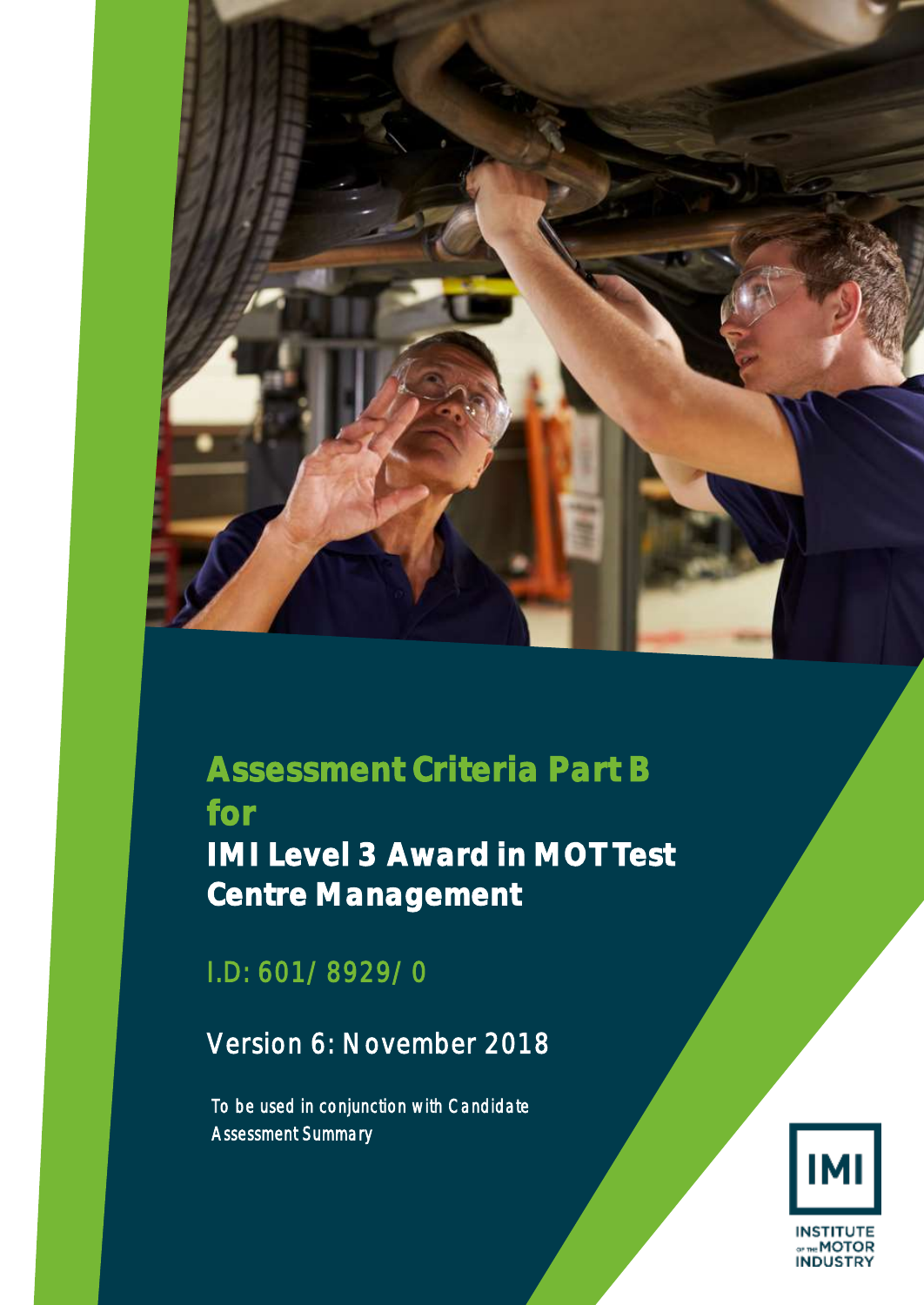

# **Assessment Criteria Part B for IMI Level 3 Award in MOT Test Centre Management**

I.D: 601/8929/0

Version 6: November 2018

*To be used in conjunction with Candidate Assessment Summary* 

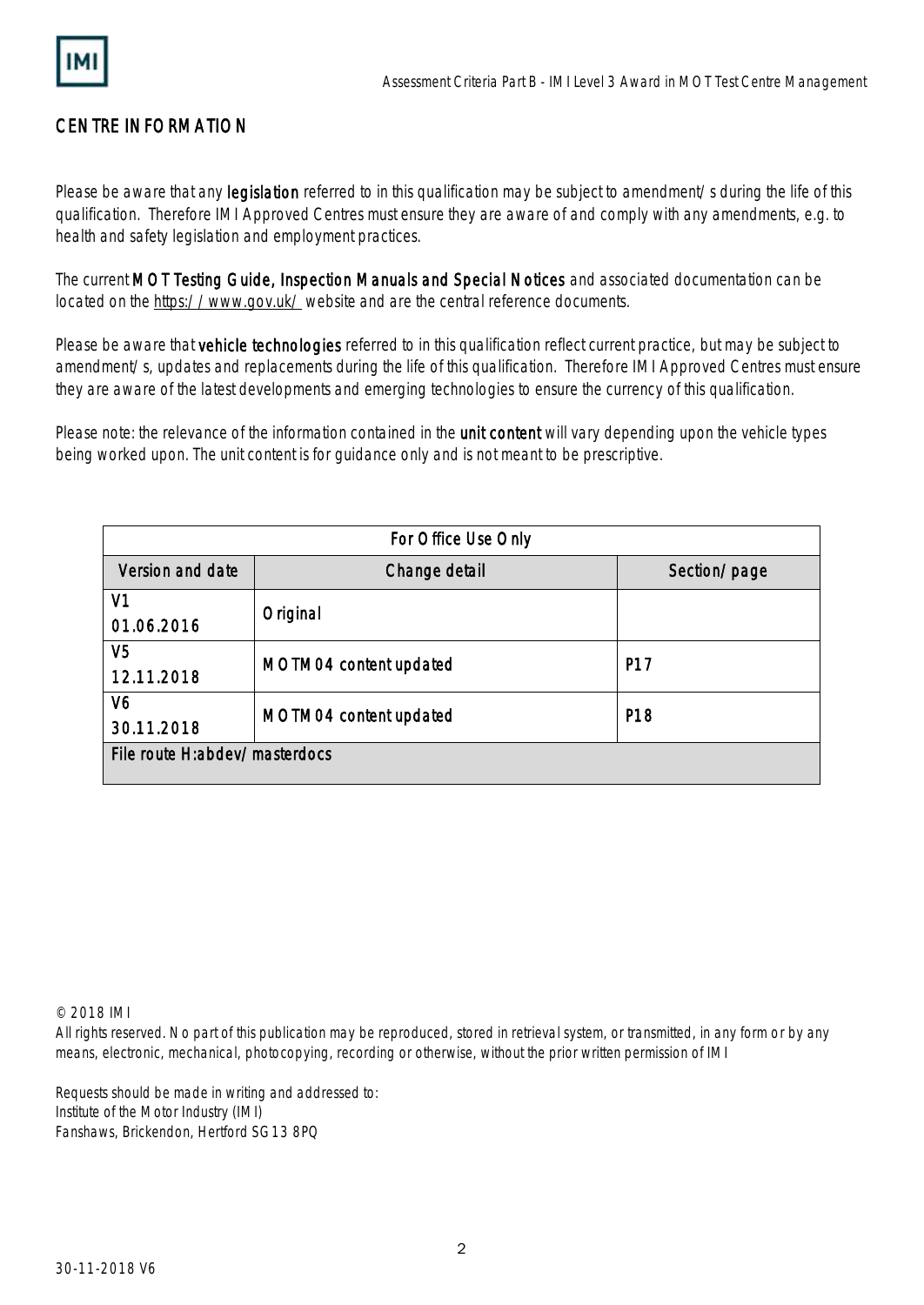

# CENTRE INFORMATION

Please be aware that any legislation referred to in this qualification may be subject to amendment/s during the life of this qualification. Therefore IMI Approved Centres must ensure they are aware of and comply with any amendments, e.g. to health and safety legislation and employment practices.

The current MOT Testing Guide, Inspection Manuals and Special Notices and associated documentation can be located on the<https://www.gov.uk/> website and are the central reference documents.

Please be aware that vehicle technologies referred to in this qualification reflect current practice, but may be subject to amendment/s, updates and replacements during the life of this qualification. Therefore IMI Approved Centres must ensure they are aware of the latest developments and emerging technologies to ensure the currency of this qualification.

Please note: the relevance of the information contained in the **unit content** will vary depending upon the vehicle types being worked upon. The unit content is for guidance only and is not meant to be prescriptive.

| For Office Use Only           |                        |                 |
|-------------------------------|------------------------|-----------------|
| Version and date              | Change detail          | Section/page    |
| V <sub>1</sub>                | Original               |                 |
| 01.06.2016                    |                        |                 |
| V5                            | MOTM04 content updated | P17             |
| 12.11.2018                    |                        |                 |
| V6                            |                        | P <sub>18</sub> |
| 30.11.2018                    | MOTM04 content updated |                 |
| File route H:abdev/masterdocs |                        |                 |
|                               |                        |                 |

© 2018 IMI

All rights reserved. No part of this publication may be reproduced, stored in retrieval system, or transmitted, in any form or by any means, electronic, mechanical, photocopying, recording or otherwise, without the prior written permission of IMI

Requests should be made in writing and addressed to: Institute of the Motor Industry (IMI) Fanshaws, Brickendon, Hertford SG13 8PQ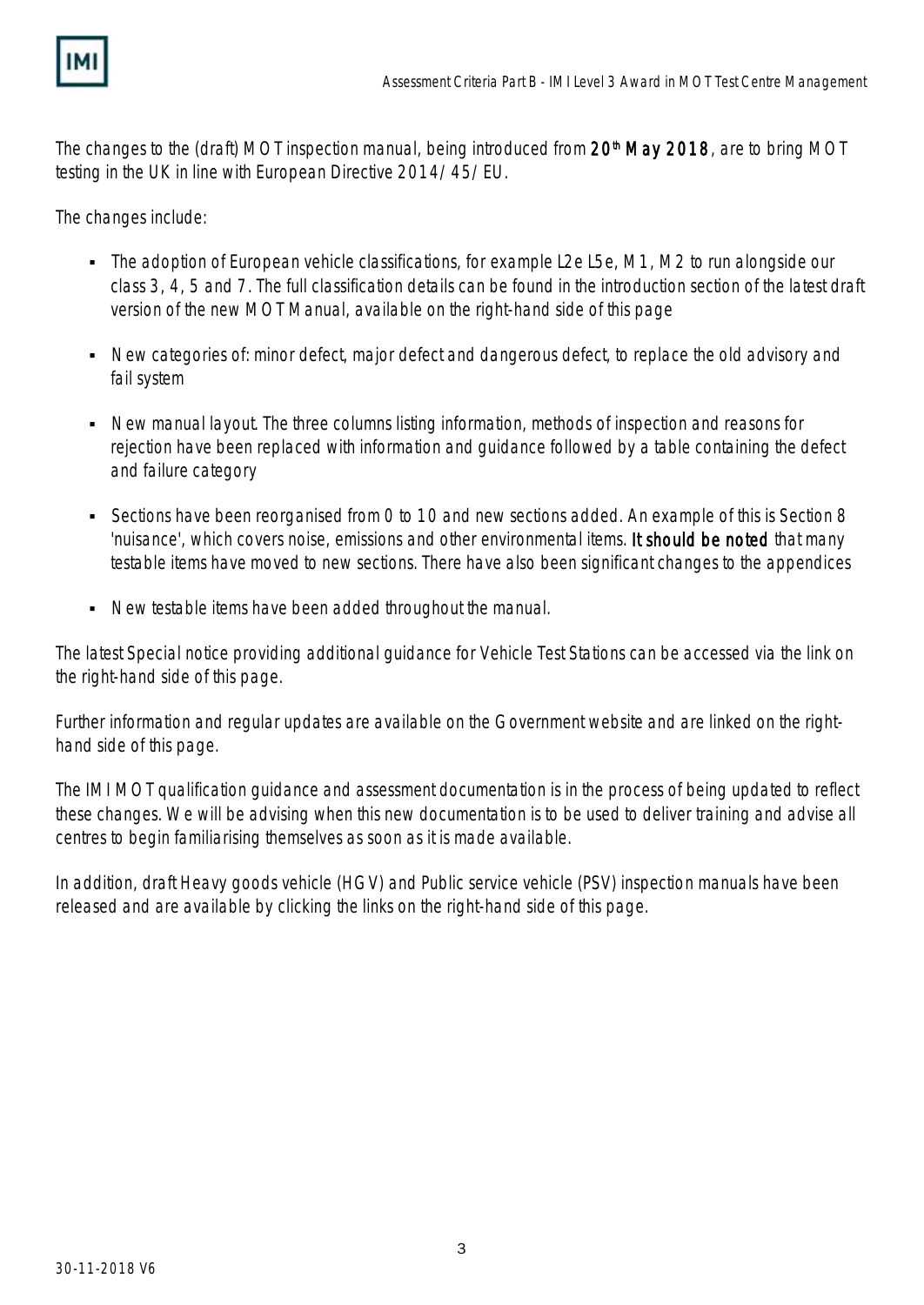

The changes to the (draft) MOT inspection manual, being introduced from 20<sup>th</sup> May 2018, are to bring MOT testing in the UK in line with European Directive 2014/45/EU.

The changes include:

- The adoption of European vehicle classifications, for example L2e L5e, M1, M2 to run alongside our class 3, 4, 5 and 7. The full classification details can be found in the introduction section of the latest draft version of the new MOT Manual, available on the right-hand side of this page
- New categories of: minor defect, major defect and dangerous defect, to replace the old advisory and fail system
- New manual layout. The three columns listing information, methods of inspection and reasons for rejection have been replaced with information and guidance followed by a table containing the defect and failure category
- Sections have been reorganised from 0 to 10 and new sections added. An example of this is Section 8 'nuisance', which covers noise, emissions and other environmental items. It should be noted that many testable items have moved to new sections. There have also been significant changes to the appendices
- New testable items have been added throughout the manual.

The latest Special notice providing additional guidance for Vehicle Test Stations can be accessed via the link on the right-hand side of this page.

Further information and regular updates are available on the Government website and are linked on the righthand side of this page.

The IMI MOT qualification guidance and assessment documentation is in the process of being updated to reflect these changes. We will be advising when this new documentation is to be used to deliver training and advise all centres to begin familiarising themselves as soon as it is made available.

In addition, draft Heavy goods vehicle (HGV) and Public service vehicle (PSV) inspection manuals have been released and are available by clicking the links on the right-hand side of this page.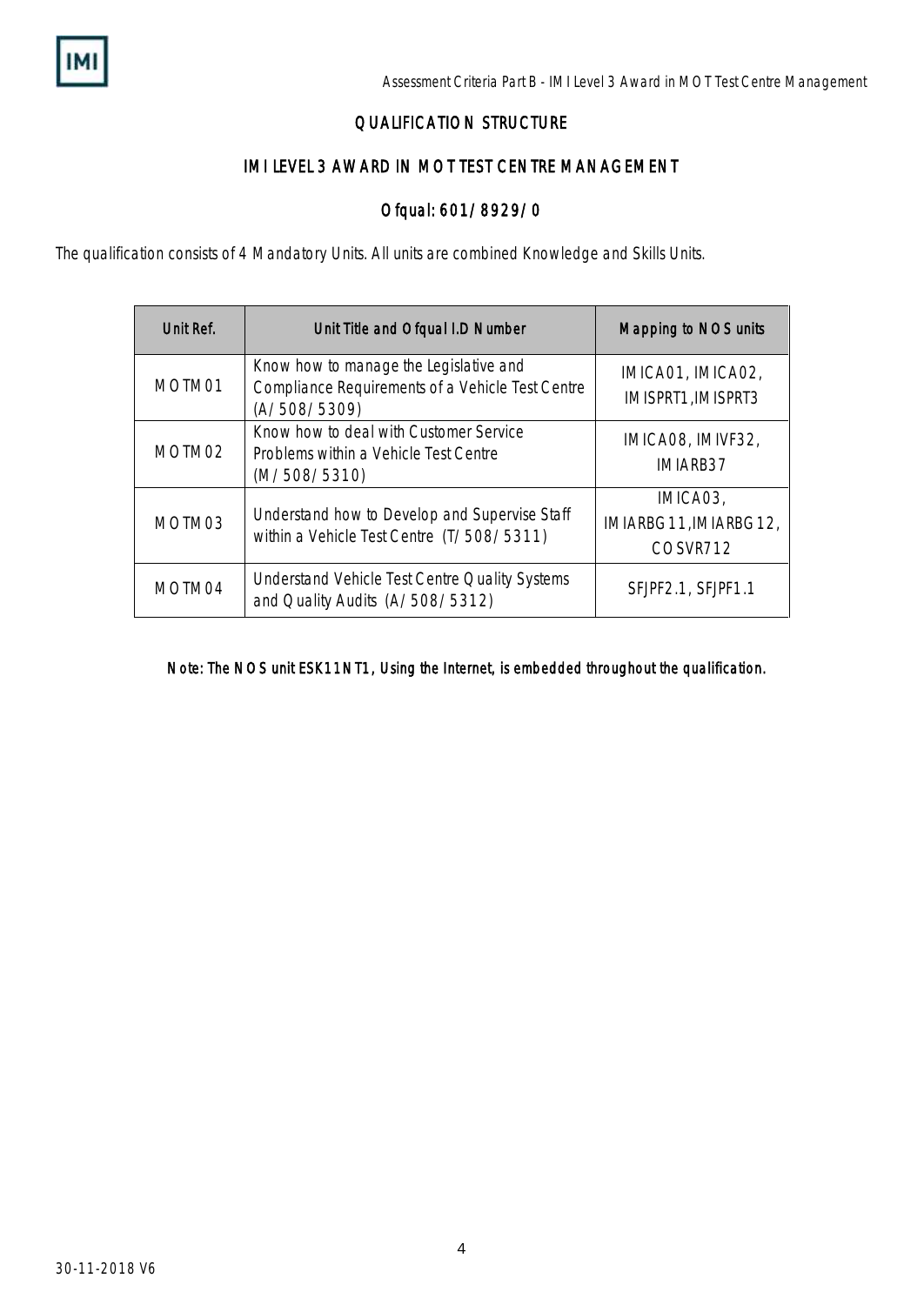

## QUALIFICATION STRUCTURE

## IMI LEVEL 3 AWARD IN MOT TEST CENTRE MANAGEMENT

## Ofqual: 601/8929/0

The qualification consists of 4 Mandatory Units. All units are combined Knowledge and Skills Units.

| Unit Ref. | Unit Title and Ofqual I.D Number                                                                           | Mapping to NOS units                          |
|-----------|------------------------------------------------------------------------------------------------------------|-----------------------------------------------|
| MOTM01    | Know how to manage the Legislative and<br>Compliance Requirements of a Vehicle Test Centre<br>(A/508/5309) | IMICA01, IMICA02,<br>IMISPRT1, IMISPRT3       |
| MOTM02    | Know how to deal with Customer Service<br>Problems within a Vehicle Test Centre<br>(M/508/5310)            | IMICA08, IMIVF32,<br>IMIARB37                 |
| MOTM03    | Understand how to Develop and Supervise Staff<br>within a Vehicle Test Centre (T/508/5311)                 | IMICA03,<br>IMIARBG11, IMIARBG12,<br>COSVR712 |
| MOTM04    | Understand Vehicle Test Centre Quality Systems<br>and Quality Audits (A/508/5312)                          | SFJPF2.1, SFJPF1.1                            |

Note: The NOS unit ESK11NT1, Using the Internet, is embedded throughout the qualification.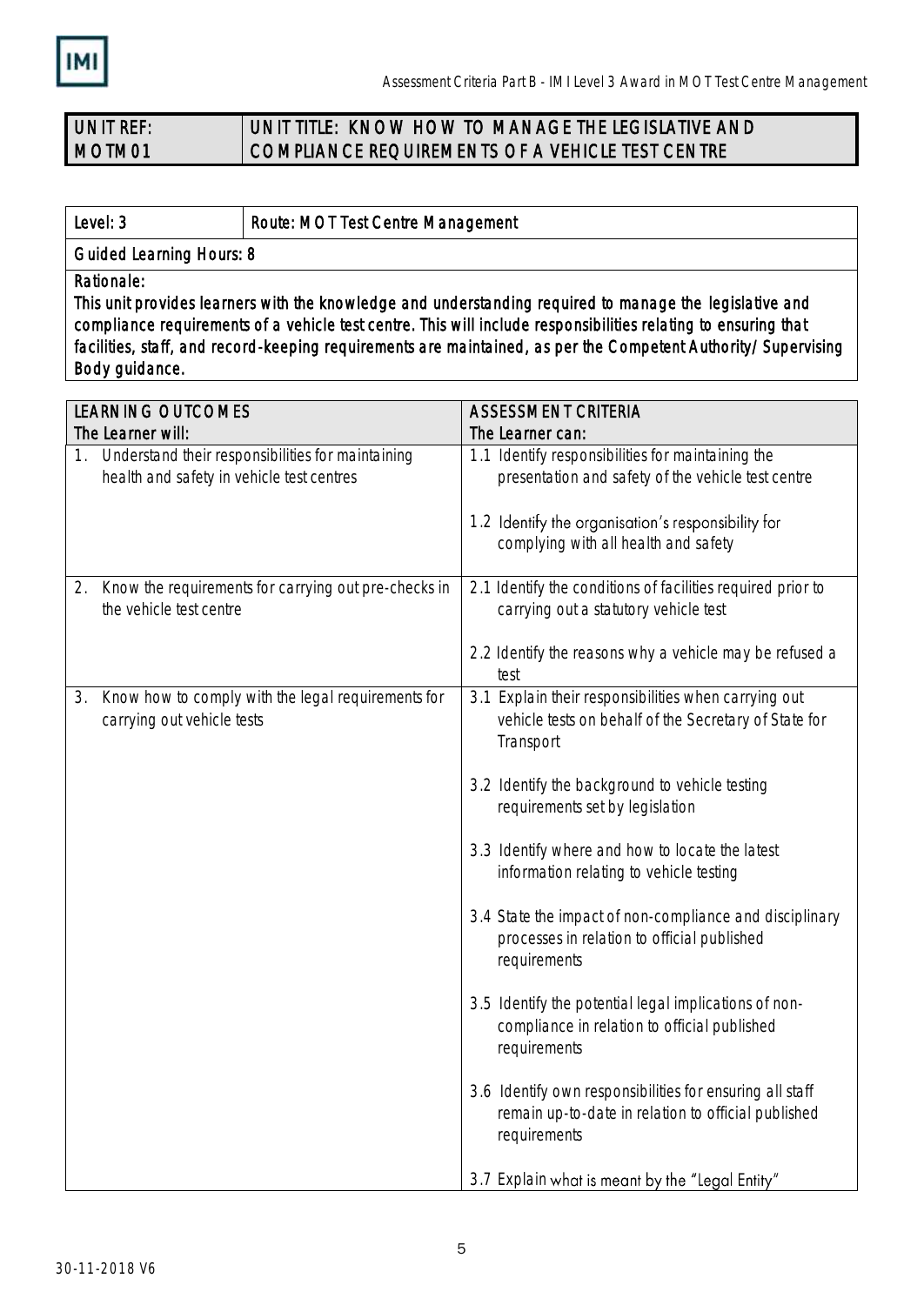

#### UNIT REF: MOTM01 UNIT TITLE: KNOW HOW TO MANAGE THE LEGISLATIVE AND COMPLIANCE REQUIREMENTS OF A VEHICLE TEST CENTRE

Level: 3 **Route: MOT Test Centre Management** 

Guided Learning Hours: 8

Rationale:

This unit provides learners with the knowledge and understanding required to manage the legislative and compliance requirements of a vehicle test centre. This will include responsibilities relating to ensuring that facilities, staff, and record-keeping requirements are maintained, as per the Competent Authority/Supervising Body guidance.

| <b>LEARNING OUTCOMES</b>                                                                             | <b>ASSESSMENT CRITERIA</b>                                                                                                      |  |
|------------------------------------------------------------------------------------------------------|---------------------------------------------------------------------------------------------------------------------------------|--|
| The Learner will:                                                                                    | The Learner can:                                                                                                                |  |
| Understand their responsibilities for maintaining<br>1.<br>health and safety in vehicle test centres | 1.1 Identify responsibilities for maintaining the<br>presentation and safety of the vehicle test centre                         |  |
|                                                                                                      | 1.2 Identify the organisation's responsibility for<br>complying with all health and safety                                      |  |
| Know the requirements for carrying out pre-checks in<br>2.<br>the vehicle test centre                | 2.1 Identify the conditions of facilities required prior to<br>carrying out a statutory vehicle test                            |  |
|                                                                                                      | 2.2 Identify the reasons why a vehicle may be refused a<br>test                                                                 |  |
| Know how to comply with the legal requirements for<br>3.<br>carrying out vehicle tests               | 3.1 Explain their responsibilities when carrying out<br>vehicle tests on behalf of the Secretary of State for<br>Transport      |  |
|                                                                                                      | 3.2 Identify the background to vehicle testing<br>requirements set by legislation                                               |  |
|                                                                                                      | 3.3 Identify where and how to locate the latest<br>information relating to vehicle testing                                      |  |
|                                                                                                      | 3.4 State the impact of non-compliance and disciplinary<br>processes in relation to official published<br>requirements          |  |
|                                                                                                      | 3.5 Identify the potential legal implications of non-<br>compliance in relation to official published<br>requirements           |  |
|                                                                                                      | 3.6 Identify own responsibilities for ensuring all staff<br>remain up-to-date in relation to official published<br>requirements |  |
|                                                                                                      | 3.7 Explain what is meant by the "Legal Entity"                                                                                 |  |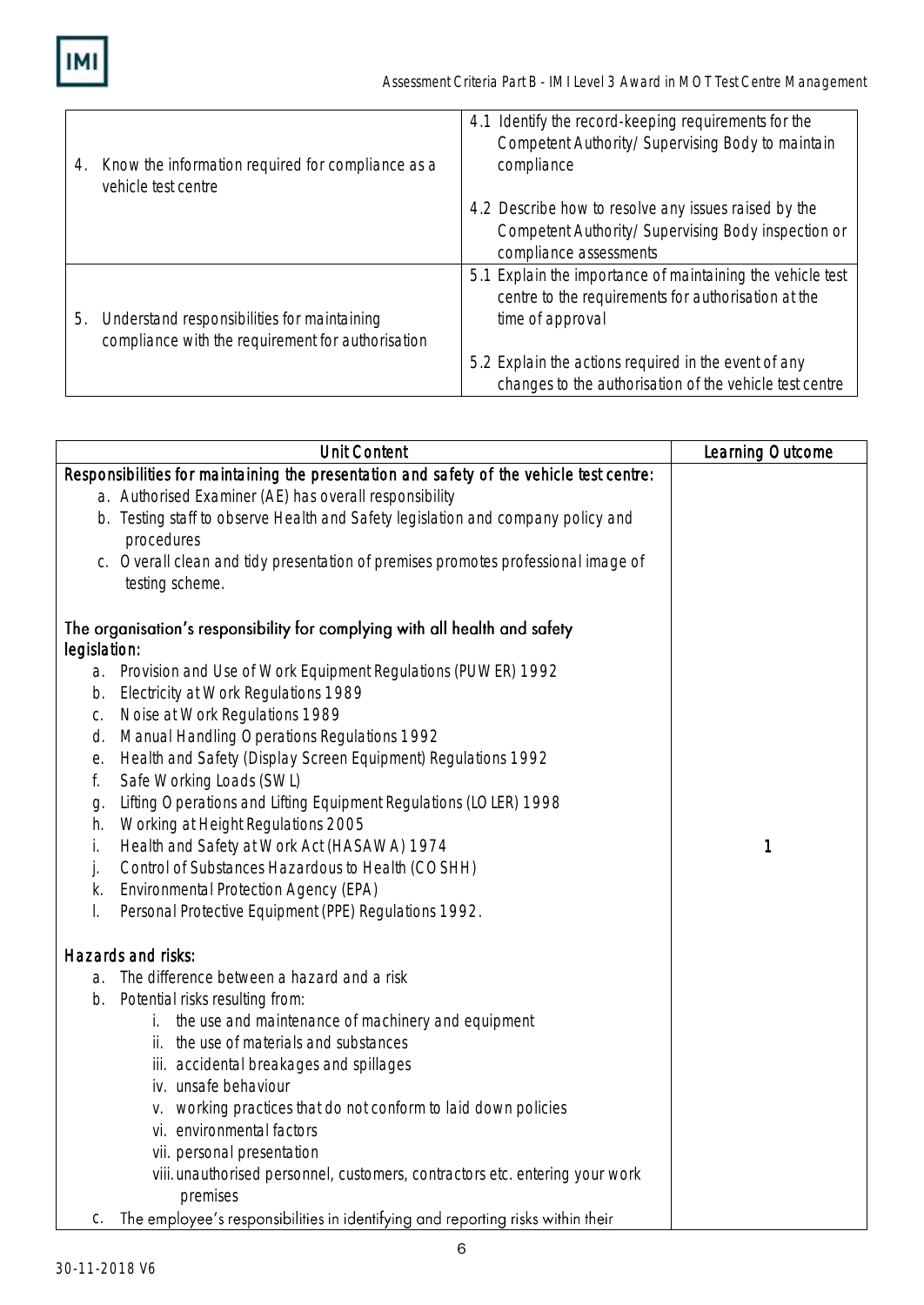**IMI** 

| 4. | Know the information required for compliance as a<br>vehicle test centre | 4.1 Identify the record-keeping requirements for the<br>Competent Authority/Supervising Body to maintain<br>compliance |
|----|--------------------------------------------------------------------------|------------------------------------------------------------------------------------------------------------------------|
|    |                                                                          | 4.2 Describe how to resolve any issues raised by the                                                                   |
|    |                                                                          | Competent Authority/Supervising Body inspection or                                                                     |
|    |                                                                          | compliance assessments                                                                                                 |
|    |                                                                          | 5.1 Explain the importance of maintaining the vehicle test<br>centre to the requirements for authorisation at the      |
| 5. | Understand responsibilities for maintaining                              | time of approval                                                                                                       |
|    | compliance with the requirement for authorisation                        |                                                                                                                        |
|    |                                                                          | 5.2 Explain the actions required in the event of any                                                                   |
|    |                                                                          | changes to the authorisation of the vehicle test centre                                                                |

|              | <b>Unit Content</b>                                                                      | Learning Outcome |
|--------------|------------------------------------------------------------------------------------------|------------------|
|              | Responsibilities for maintaining the presentation and safety of the vehicle test centre: |                  |
|              | a. Authorised Examiner (AE) has overall responsibility                                   |                  |
|              | b. Testing staff to observe Health and Safety legislation and company policy and         |                  |
|              | procedures                                                                               |                  |
|              | c. Overall clean and tidy presentation of premises promotes professional image of        |                  |
|              | testing scheme.                                                                          |                  |
|              | The organisation's responsibility for complying with all health and safety               |                  |
| legislation: |                                                                                          |                  |
|              | a. Provision and Use of Work Equipment Regulations (PUWER) 1992                          |                  |
| b.           | Electricity at Work Regulations 1989                                                     |                  |
| С.           | Noise at Work Regulations 1989                                                           |                  |
| d.           | Manual Handling Operations Regulations 1992                                              |                  |
| е.           | Health and Safety (Display Screen Equipment) Regulations 1992                            |                  |
| f.           | Safe Working Loads (SWL)                                                                 |                  |
| g.           | Lifting Operations and Lifting Equipment Regulations (LOLER) 1998                        |                  |
| h.           | Working at Height Regulations 2005                                                       |                  |
| İ.           | Health and Safety at Work Act (HASAWA) 1974                                              | 1                |
| j.           | Control of Substances Hazardous to Health (COSHH)                                        |                  |
| k.           | Environmental Protection Agency (EPA)                                                    |                  |
| I.           | Personal Protective Equipment (PPE) Regulations 1992.                                    |                  |
|              | Hazards and risks:                                                                       |                  |
| a.           | The difference between a hazard and a risk                                               |                  |
| b.           | Potential risks resulting from:                                                          |                  |
|              | the use and maintenance of machinery and equipment                                       |                  |
|              | ii. the use of materials and substances                                                  |                  |
|              | iii. accidental breakages and spillages                                                  |                  |
|              | iv. unsafe behaviour                                                                     |                  |
|              | v. working practices that do not conform to laid down policies                           |                  |
|              | vi. environmental factors                                                                |                  |
|              | vii. personal presentation                                                               |                  |
|              | viii. unauthorised personnel, customers, contractors etc. entering your work             |                  |
|              | premises                                                                                 |                  |
| C.           | The employee's responsibilities in identifying and reporting risks within their          |                  |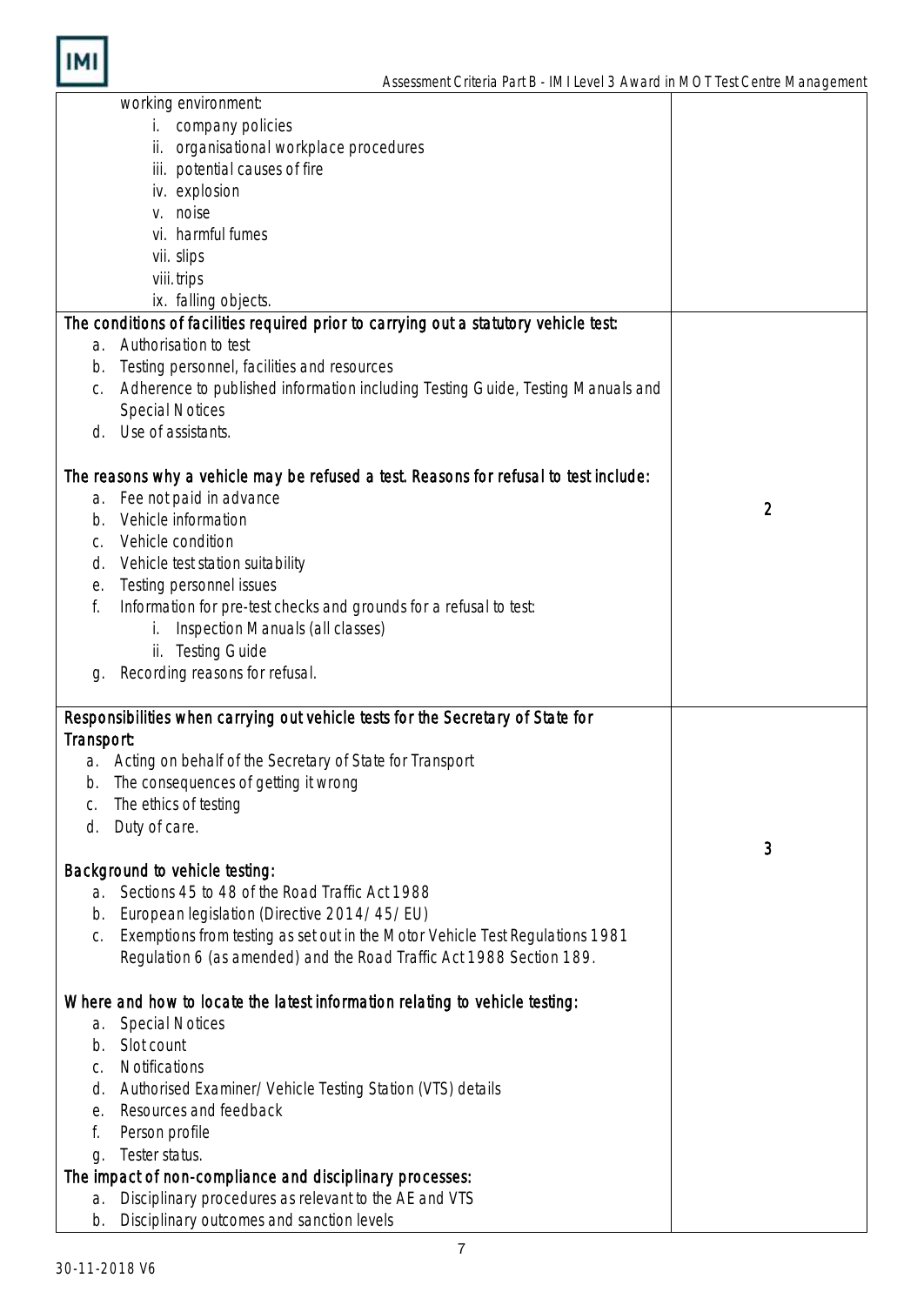| working environment:                                                                                           |   |
|----------------------------------------------------------------------------------------------------------------|---|
| i. company policies                                                                                            |   |
| ii. organisational workplace procedures                                                                        |   |
| iii. potential causes of fire                                                                                  |   |
| iv. explosion                                                                                                  |   |
| v. noise                                                                                                       |   |
| vi. harmful fumes                                                                                              |   |
| vii. slips                                                                                                     |   |
|                                                                                                                |   |
| viii. trips                                                                                                    |   |
| ix. falling objects.                                                                                           |   |
| The conditions of facilities required prior to carrying out a statutory vehicle test:                          |   |
| a. Authorisation to test                                                                                       |   |
| Testing personnel, facilities and resources<br>b.                                                              |   |
| Adherence to published information including Testing Guide, Testing Manuals and<br>C.                          |   |
| <b>Special Notices</b>                                                                                         |   |
| Use of assistants.<br>d.                                                                                       |   |
|                                                                                                                |   |
| The reasons why a vehicle may be refused a test. Reasons for refusal to test include:                          |   |
| Fee not paid in advance<br>a.                                                                                  |   |
| Vehicle information<br>b.                                                                                      | 2 |
| Vehicle condition<br>C.                                                                                        |   |
|                                                                                                                |   |
| Vehicle test station suitability<br>d.                                                                         |   |
| Testing personnel issues<br>е.                                                                                 |   |
| Information for pre-test checks and grounds for a refusal to test:<br>f.                                       |   |
| Inspection Manuals (all classes)<br>i.                                                                         |   |
| ii. Testing Guide                                                                                              |   |
| Recording reasons for refusal.<br>g.                                                                           |   |
|                                                                                                                |   |
| Responsibilities when carrying out vehicle tests for the Secretary of State for                                |   |
| Transport:                                                                                                     |   |
| a. Acting on behalf of the Secretary of State for Transport                                                    |   |
| The consequences of getting it wrong<br>b.                                                                     |   |
| The ethics of testing<br>C.                                                                                    |   |
| Duty of care.<br>d.                                                                                            |   |
|                                                                                                                | 3 |
|                                                                                                                |   |
| Background to vehicle testing:                                                                                 |   |
| Sections 45 to 48 of the Road Traffic Act 1988<br>a.                                                           |   |
| European legislation (Directive 2014/45/EU)<br>b.                                                              |   |
| Exemptions from testing as set out in the Motor Vehicle Test Regulations 1981<br>C.                            |   |
| Regulation 6 (as amended) and the Road Traffic Act 1988 Section 189.                                           |   |
|                                                                                                                |   |
| Where and how to locate the latest information relating to vehicle testing:                                    |   |
| <b>Special Notices</b><br>a.                                                                                   |   |
| Slot count<br>b.                                                                                               |   |
| Notifications<br>C.                                                                                            |   |
| Authorised Examiner/Vehicle Testing Station (VTS) details<br>d.                                                |   |
| Resources and feedback<br>е.                                                                                   |   |
| Person profile<br>f.                                                                                           |   |
| Tester status.                                                                                                 |   |
| g.                                                                                                             |   |
|                                                                                                                |   |
| The impact of non-compliance and disciplinary processes:                                                       |   |
| Disciplinary procedures as relevant to the AE and VTS<br>a.<br>Disciplinary outcomes and sanction levels<br>b. |   |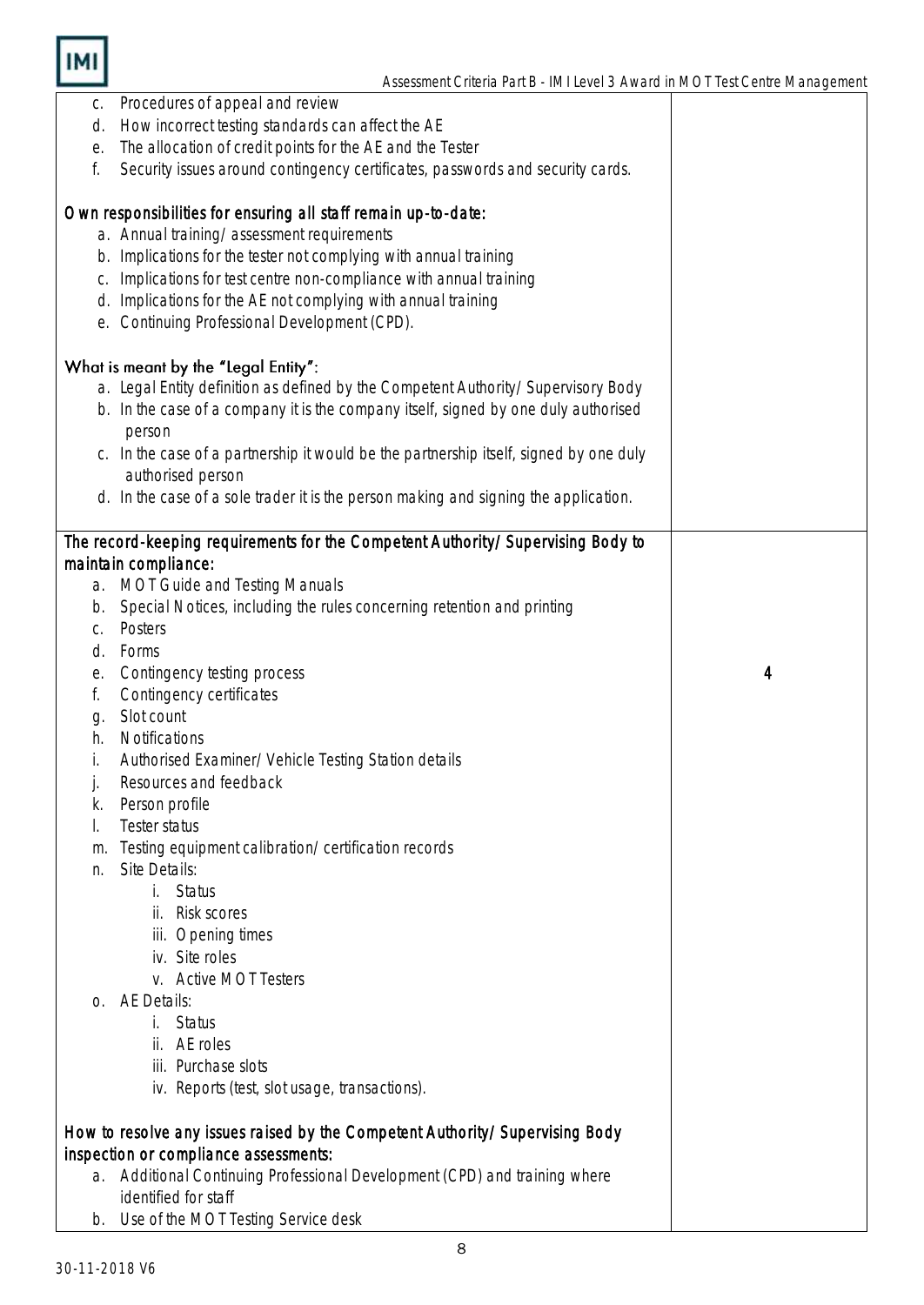

| С. | Procedures of appeal and review                                                        |                |
|----|----------------------------------------------------------------------------------------|----------------|
| d. | How incorrect testing standards can affect the AE                                      |                |
| е. | The allocation of credit points for the AE and the Tester                              |                |
| f. | Security issues around contingency certificates, passwords and security cards.         |                |
|    |                                                                                        |                |
|    | Own responsibilities for ensuring all staff remain up-to-date:                         |                |
|    | a. Annual training/assessment requirements                                             |                |
|    | b. Implications for the tester not complying with annual training                      |                |
| C. | Implications for test centre non-compliance with annual training                       |                |
|    | d. Implications for the AE not complying with annual training                          |                |
|    | e. Continuing Professional Development (CPD).                                          |                |
|    | What is meant by the "Legal Entity":                                                   |                |
|    | a. Legal Entity definition as defined by the Competent Authority/Supervisory Body      |                |
|    | b. In the case of a company it is the company itself, signed by one duly authorised    |                |
|    | person                                                                                 |                |
|    | c. In the case of a partnership it would be the partnership itself, signed by one duly |                |
|    | authorised person                                                                      |                |
|    | d. In the case of a sole trader it is the person making and signing the application.   |                |
|    |                                                                                        |                |
|    | The record-keeping requirements for the Competent Authority/Supervising Body to        |                |
|    | maintain compliance:                                                                   |                |
|    | a. MOT Guide and Testing Manuals                                                       |                |
| b. | Special Notices, including the rules concerning retention and printing                 |                |
| C. | Posters                                                                                |                |
| d. | Forms                                                                                  |                |
| е. | Contingency testing process                                                            | $\overline{4}$ |
| f. | Contingency certificates                                                               |                |
| g. | Slot count                                                                             |                |
| h. | Notifications                                                                          |                |
| İ. | Authorised Examiner/Vehicle Testing Station details                                    |                |
| j. | Resources and feedback                                                                 |                |
| k. | Person profile                                                                         |                |
|    | Tester status                                                                          |                |
| m. | Testing equipment calibration/certification records                                    |                |
| n. | Site Details:                                                                          |                |
|    | <b>Status</b><br>i.                                                                    |                |
|    | ii. Risk scores                                                                        |                |
|    | iii. Opening times                                                                     |                |
|    | iv. Site roles                                                                         |                |
|    | v. Active MOT Testers                                                                  |                |
| Ω. | <b>AE Details:</b>                                                                     |                |
|    | <b>Status</b><br>İ.                                                                    |                |
|    | ii. AE roles                                                                           |                |
|    | iii. Purchase slots                                                                    |                |
|    | iv. Reports (test, slot usage, transactions).                                          |                |
|    | How to resolve any issues raised by the Competent Authority/Supervising Body           |                |
|    | inspection or compliance assessments:                                                  |                |
|    | a. Additional Continuing Professional Development (CPD) and training where             |                |
|    | identified for staff                                                                   |                |
| b. | Use of the MOT Testing Service desk                                                    |                |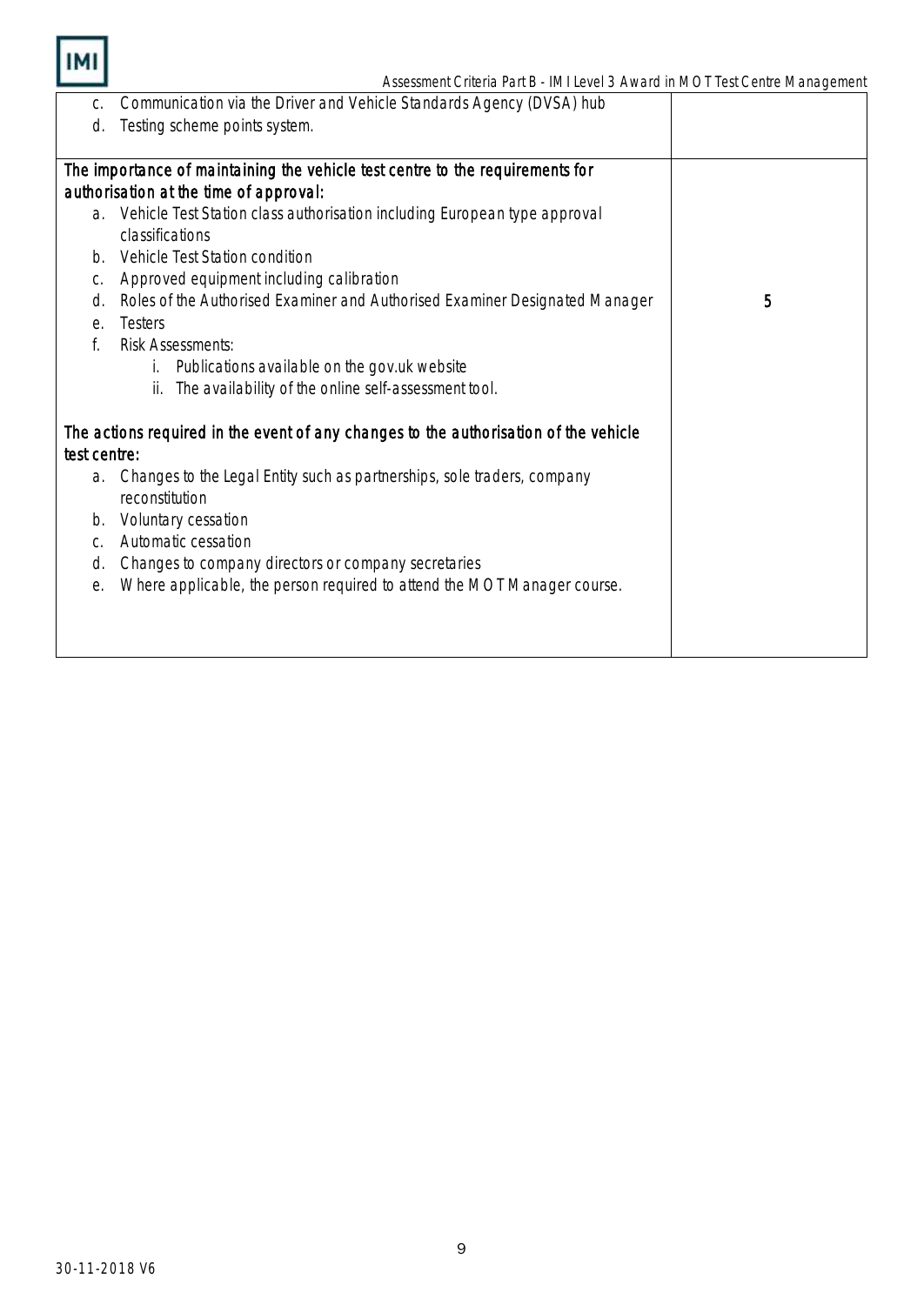

| C.           | Communication via the Driver and Vehicle Standards Agency (DVSA) hub                 |   |
|--------------|--------------------------------------------------------------------------------------|---|
| d.           | Testing scheme points system.                                                        |   |
|              |                                                                                      |   |
|              | The importance of maintaining the vehicle test centre to the requirements for        |   |
|              | authorisation at the time of approval:                                               |   |
|              | a. Vehicle Test Station class authorisation including European type approval         |   |
|              | classifications                                                                      |   |
| $b_{\cdot}$  | Vehicle Test Station condition                                                       |   |
| С.           | Approved equipment including calibration                                             |   |
| d.           | Roles of the Authorised Examiner and Authorised Examiner Designated Manager          | 5 |
| е.           | Testers                                                                              |   |
| f.           | <b>Risk Assessments:</b>                                                             |   |
|              | Publications available on the gov.uk website                                         |   |
|              | The availability of the online self-assessment tool.<br>ii.                          |   |
|              |                                                                                      |   |
|              | The actions required in the event of any changes to the authorisation of the vehicle |   |
| test centre: |                                                                                      |   |
| a.           | Changes to the Legal Entity such as partnerships, sole traders, company              |   |
|              | reconstitution                                                                       |   |
| b.           | Voluntary cessation                                                                  |   |
| C.           | Automatic cessation                                                                  |   |
| d.           | Changes to company directors or company secretaries                                  |   |
| е.           | Where applicable, the person required to attend the MOT Manager course.              |   |
|              |                                                                                      |   |
|              |                                                                                      |   |
|              |                                                                                      |   |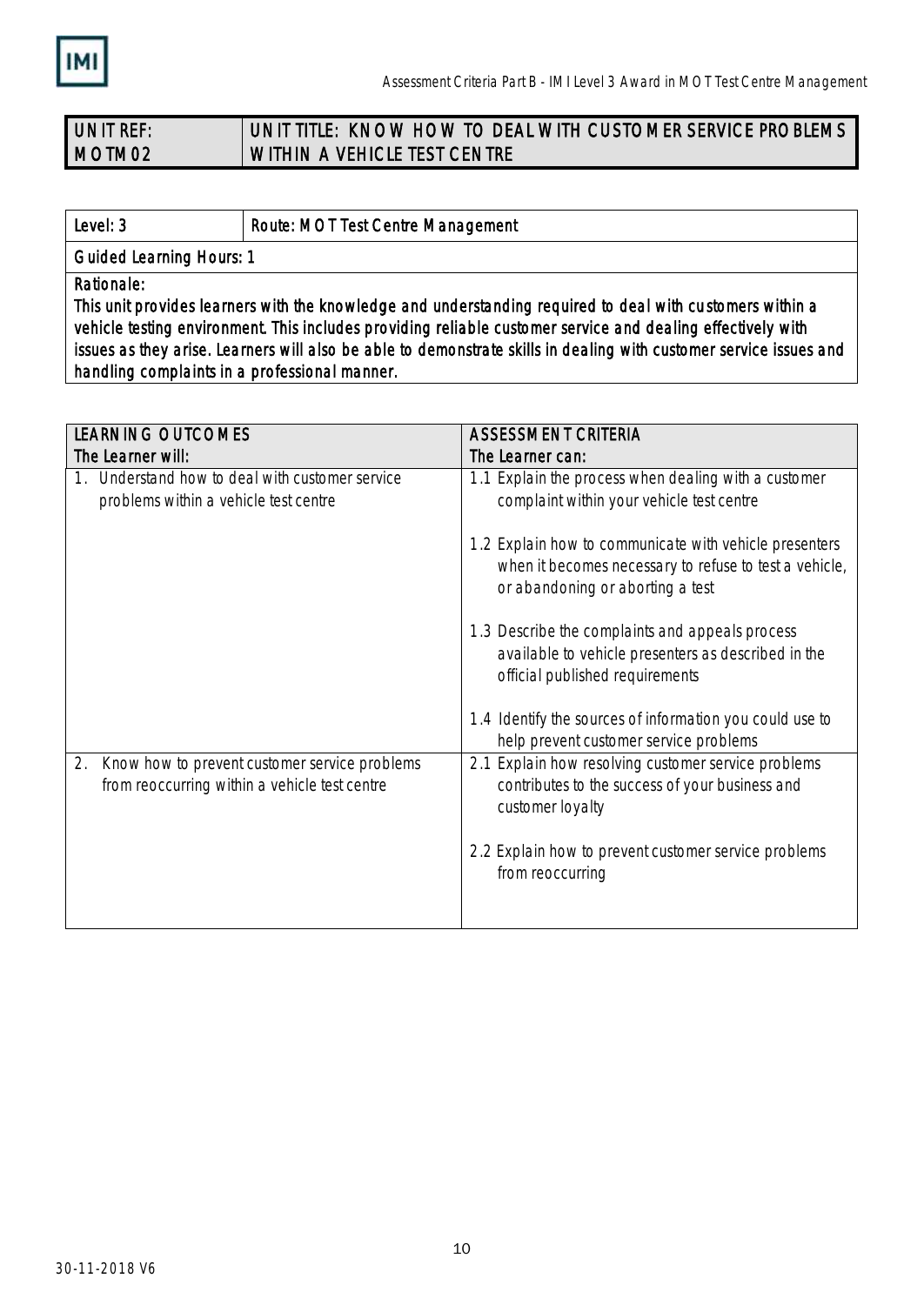

### UNIT REF: MOTM02 UNIT TITLE: KNOW HOW TO DEAL WITH CUSTOMER SERVICE PROBLEMS WITHIN A VEHICLE TEST CENTRE

Level: 3 **Route: MOT Test Centre Management** 

Guided Learning Hours: 1

Rationale:

This unit provides learners with the knowledge and understanding required to deal with cu stomers within a vehicle testing environment. This includes providing reliable customer service and dealing effectively with issues as they arise. Learners will also be able to demonstrate skills in dealing with customer service issues and handling complaints in a professional manner.

| <b>LEARNING OUTCOMES</b>                                                                             | <b>ASSESSMENT CRITERIA</b>                                                                                                                           |  |
|------------------------------------------------------------------------------------------------------|------------------------------------------------------------------------------------------------------------------------------------------------------|--|
| The Learner will:                                                                                    | The Learner can:                                                                                                                                     |  |
| Understand how to deal with customer service<br>problems within a vehicle test centre                | 1.1 Explain the process when dealing with a customer<br>complaint within your vehicle test centre                                                    |  |
|                                                                                                      | 1.2 Explain how to communicate with vehicle presenters<br>when it becomes necessary to refuse to test a vehicle,<br>or abandoning or aborting a test |  |
|                                                                                                      | 1.3 Describe the complaints and appeals process<br>available to vehicle presenters as described in the<br>official published requirements            |  |
|                                                                                                      | 1.4 Identify the sources of information you could use to<br>help prevent customer service problems                                                   |  |
| 2.<br>Know how to prevent customer service problems<br>from reoccurring within a vehicle test centre | Explain how resolving customer service problems<br>2.1<br>contributes to the success of your business and<br>customer loyalty                        |  |
|                                                                                                      | 2.2 Explain how to prevent customer service problems<br>from reoccurring                                                                             |  |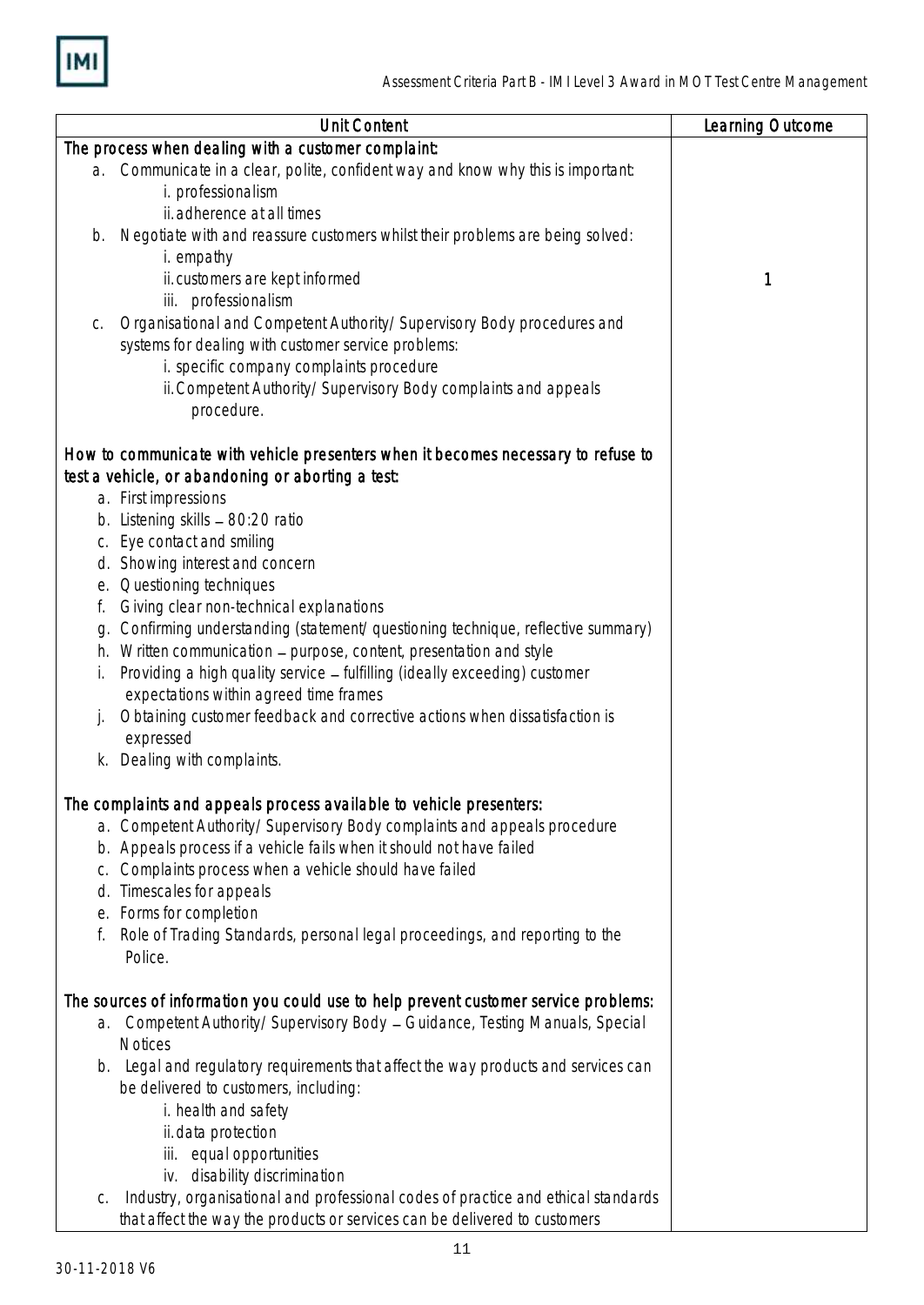

| <b>Unit Content</b>                                                                     | Learning Outcome |
|-----------------------------------------------------------------------------------------|------------------|
| The process when dealing with a customer complaint:                                     |                  |
| a. Communicate in a clear, polite, confident way and know why this is important:        |                  |
| i. professionalism                                                                      |                  |
| ii. adherence at all times                                                              |                  |
| Negotiate with and reassure customers whilst their problems are being solved:<br>b.     |                  |
| i. empathy                                                                              |                  |
| ii. customers are kept informed                                                         | 1                |
| iii. professionalism                                                                    |                  |
| Organisational and Competent Authority/Supervisory Body procedures and<br>С.            |                  |
| systems for dealing with customer service problems:                                     |                  |
| i. specific company complaints procedure                                                |                  |
| ii. Competent Authority/Supervisory Body complaints and appeals                         |                  |
| procedure.                                                                              |                  |
|                                                                                         |                  |
| How to communicate with vehicle presenters when it becomes necessary to refuse to       |                  |
| test a vehicle, or abandoning or aborting a test:                                       |                  |
| a. First impressions                                                                    |                  |
| b. Listening skills - 80:20 ratio                                                       |                  |
| c. Eye contact and smiling                                                              |                  |
| d. Showing interest and concern                                                         |                  |
| Questioning techniques<br>е.                                                            |                  |
| Giving clear non-technical explanations<br>f.                                           |                  |
| Confirming understanding (statement/questioning technique, reflective summary)<br>g.    |                  |
| Written communication - purpose, content, presentation and style<br>h.                  |                  |
| Providing a high quality service - fulfilling (ideally exceeding) customer<br>L.        |                  |
| expectations within agreed time frames                                                  |                  |
| Obtaining customer feedback and corrective actions when dissatisfaction is              |                  |
| expressed                                                                               |                  |
| k. Dealing with complaints.                                                             |                  |
|                                                                                         |                  |
| The complaints and appeals process available to vehicle presenters:                     |                  |
| a. Competent Authority/Supervisory Body complaints and appeals procedure                |                  |
| b. Appeals process if a vehicle fails when it should not have failed                    |                  |
| Complaints process when a vehicle should have failed<br>С.                              |                  |
| Timescales for appeals<br>d.                                                            |                  |
| Forms for completion<br>е.                                                              |                  |
| Role of Trading Standards, personal legal proceedings, and reporting to the<br>f.       |                  |
| Police.                                                                                 |                  |
|                                                                                         |                  |
| The sources of information you could use to help prevent customer service problems:     |                  |
| Competent Authority/Supervisory Body - Guidance, Testing Manuals, Special<br>a.         |                  |
| <b>Notices</b>                                                                          |                  |
| Legal and regulatory requirements that affect the way products and services can<br>b.   |                  |
| be delivered to customers, including:                                                   |                  |
| i. health and safety                                                                    |                  |
| ii. data protection                                                                     |                  |
| iii. equal opportunities                                                                |                  |
| iv. disability discrimination                                                           |                  |
| Industry, organisational and professional codes of practice and ethical standards<br>C. |                  |
| that affect the way the products or services can be delivered to customers              |                  |
|                                                                                         |                  |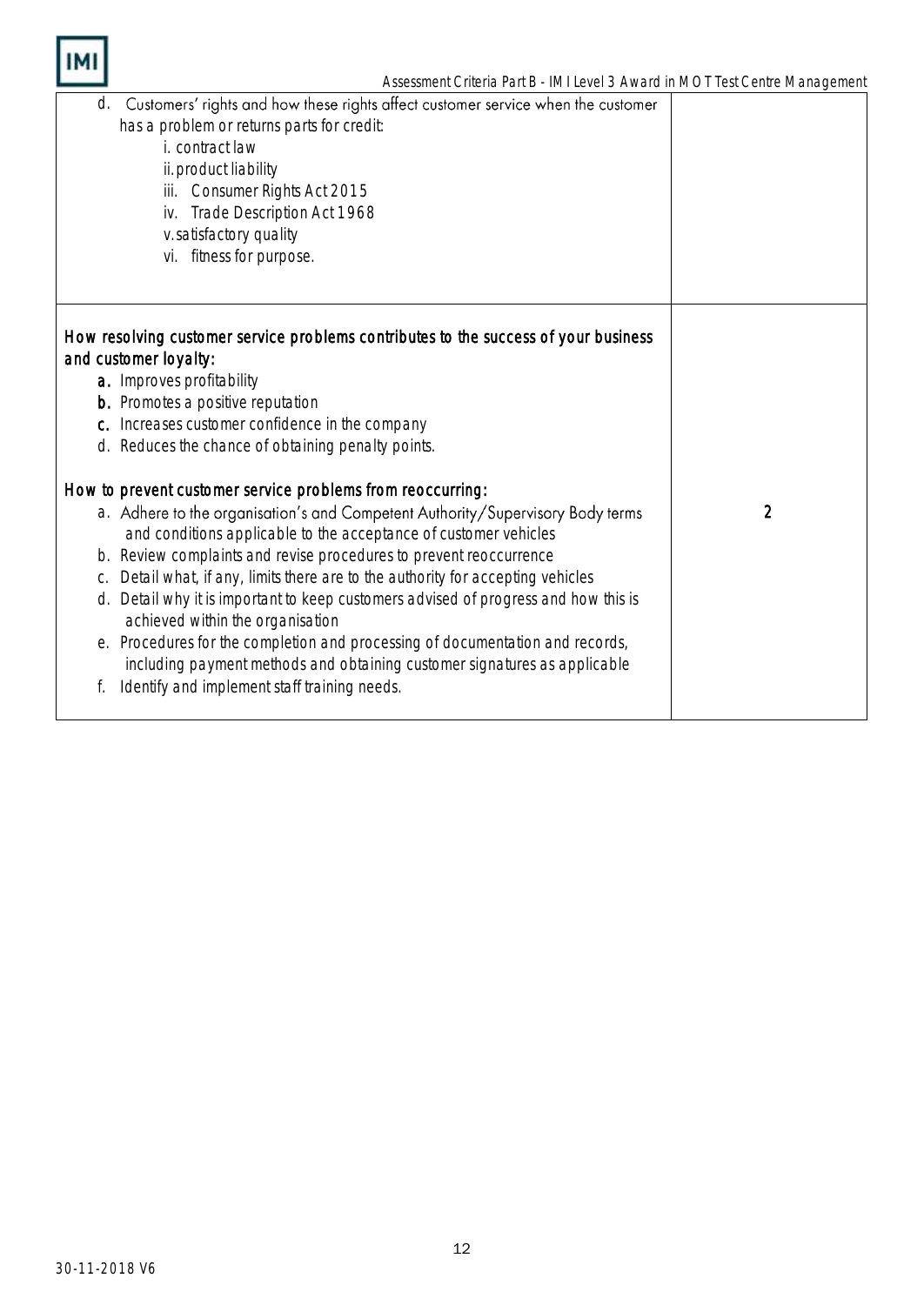

I

| Customers' rights and how these rights affect customer service when the customer<br>d.<br>has a problem or returns parts for credit:<br><i>i.</i> contract law<br>ii. product liability<br>iii. Consumer Rights Act 2015<br>Trade Description Act 1968<br>iv.<br>v.satisfactory quality<br>vi. fitness for purpose. |                |
|---------------------------------------------------------------------------------------------------------------------------------------------------------------------------------------------------------------------------------------------------------------------------------------------------------------------|----------------|
|                                                                                                                                                                                                                                                                                                                     |                |
| How resolving customer service problems contributes to the success of your business<br>and customer loyalty:                                                                                                                                                                                                        |                |
| a. Improves profitability                                                                                                                                                                                                                                                                                           |                |
| <b>b.</b> Promotes a positive reputation                                                                                                                                                                                                                                                                            |                |
| c. Increases customer confidence in the company                                                                                                                                                                                                                                                                     |                |
| d. Reduces the chance of obtaining penalty points.                                                                                                                                                                                                                                                                  |                |
| How to prevent customer service problems from reoccurring:                                                                                                                                                                                                                                                          |                |
| a. Adhere to the organisation's and Competent Authority/Supervisory Body terms<br>and conditions applicable to the acceptance of customer vehicles                                                                                                                                                                  | $\overline{2}$ |
| b. Review complaints and revise procedures to prevent reoccurrence                                                                                                                                                                                                                                                  |                |
| Detail what, if any, limits there are to the authority for accepting vehicles<br>C.                                                                                                                                                                                                                                 |                |
| Detail why it is important to keep customers advised of progress and how this is<br>d.<br>achieved within the organisation                                                                                                                                                                                          |                |
| e. Procedures for the completion and processing of documentation and records,<br>including payment methods and obtaining customer signatures as applicable                                                                                                                                                          |                |
| Identify and implement staff training needs.                                                                                                                                                                                                                                                                        |                |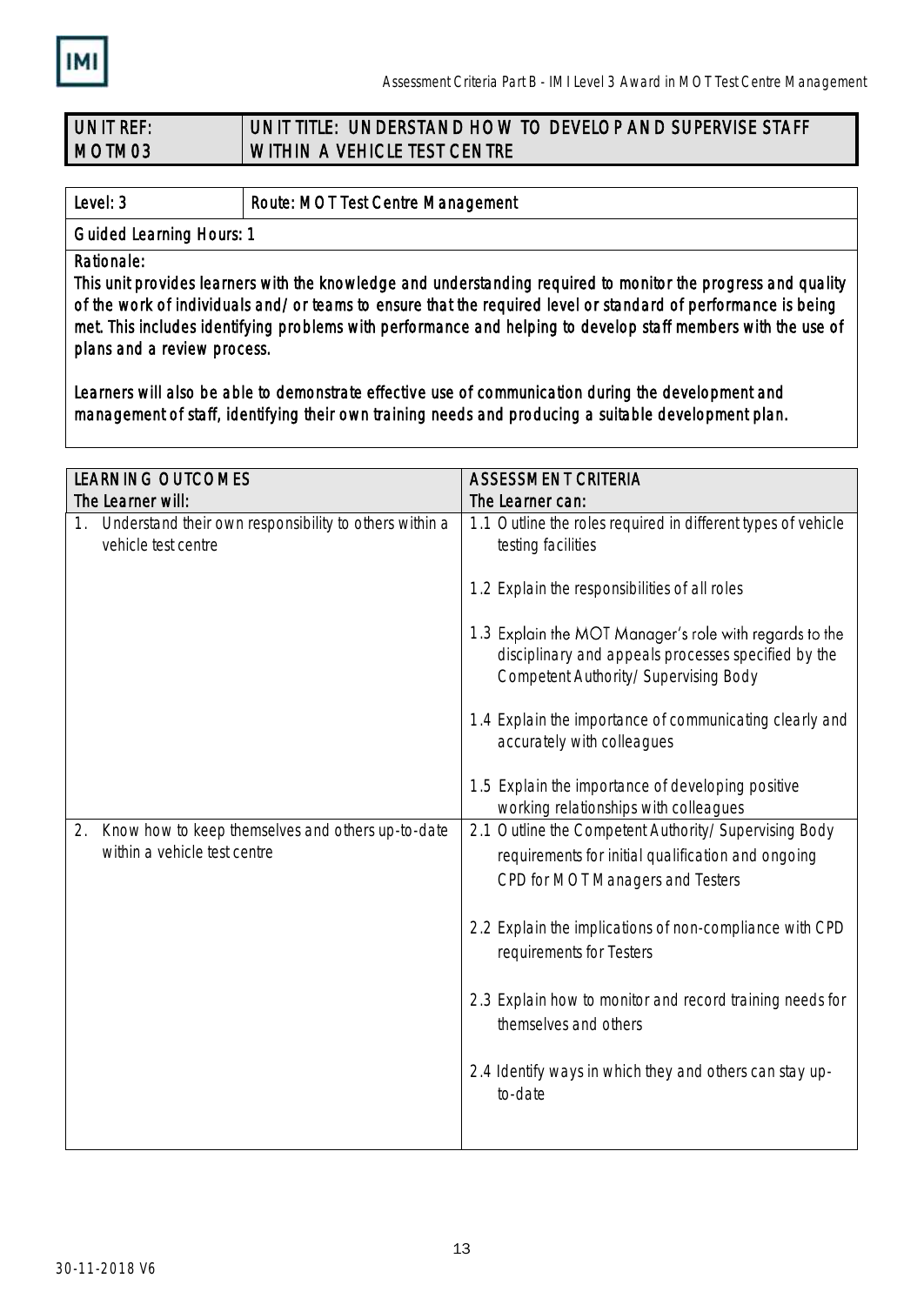

### UNIT REF: MOTM03 UNIT TITLE: UNDERSTAND HOW TO DEVELOP AND SUPERVISE STAFF WITHIN A VEHICLE TEST CENTRE

Level: 3 Route: MOT Test Centre Management

Guided Learning Hours: 1

Rationale:

This unit provides learners with the knowledge and understanding required to monitor the progress and quality of the work of individuals and/or teams to ensure that the required level or standard of performance is being met. This includes identifying problems with performance and helping to develop staff members with the use of plans and a review process.

Learners will also be able to demonstrate effective use of communication during the development and management of staff, identifying their own training needs and producing a suitable development plan.

| <b>LEARNING OUTCOMES</b>                                                                | <b>ASSESSMENT CRITERIA</b>                                                                                                                            |
|-----------------------------------------------------------------------------------------|-------------------------------------------------------------------------------------------------------------------------------------------------------|
| The Learner will:                                                                       | The Learner can:                                                                                                                                      |
| 1. Understand their own responsibility to others within a<br>vehicle test centre        | 1.1 Outline the roles required in different types of vehicle<br>testing facilities                                                                    |
|                                                                                         | 1.2 Explain the responsibilities of all roles                                                                                                         |
|                                                                                         | 1.3 Explain the MOT Manager's role with regards to the<br>disciplinary and appeals processes specified by the<br>Competent Authority/Supervising Body |
|                                                                                         | 1.4 Explain the importance of communicating clearly and<br>accurately with colleagues                                                                 |
|                                                                                         | 1.5 Explain the importance of developing positive<br>working relationships with colleagues                                                            |
| Know how to keep themselves and others up-to-date<br>2.<br>within a vehicle test centre | 2.1 Outline the Competent Authority/Supervising Body<br>requirements for initial qualification and ongoing<br>CPD for MOT Managers and Testers        |
|                                                                                         | 2.2 Explain the implications of non-compliance with CPD<br>requirements for Testers                                                                   |
|                                                                                         | 2.3 Explain how to monitor and record training needs for<br>themselves and others                                                                     |
|                                                                                         | 2.4 Identify ways in which they and others can stay up-<br>to-date                                                                                    |
|                                                                                         |                                                                                                                                                       |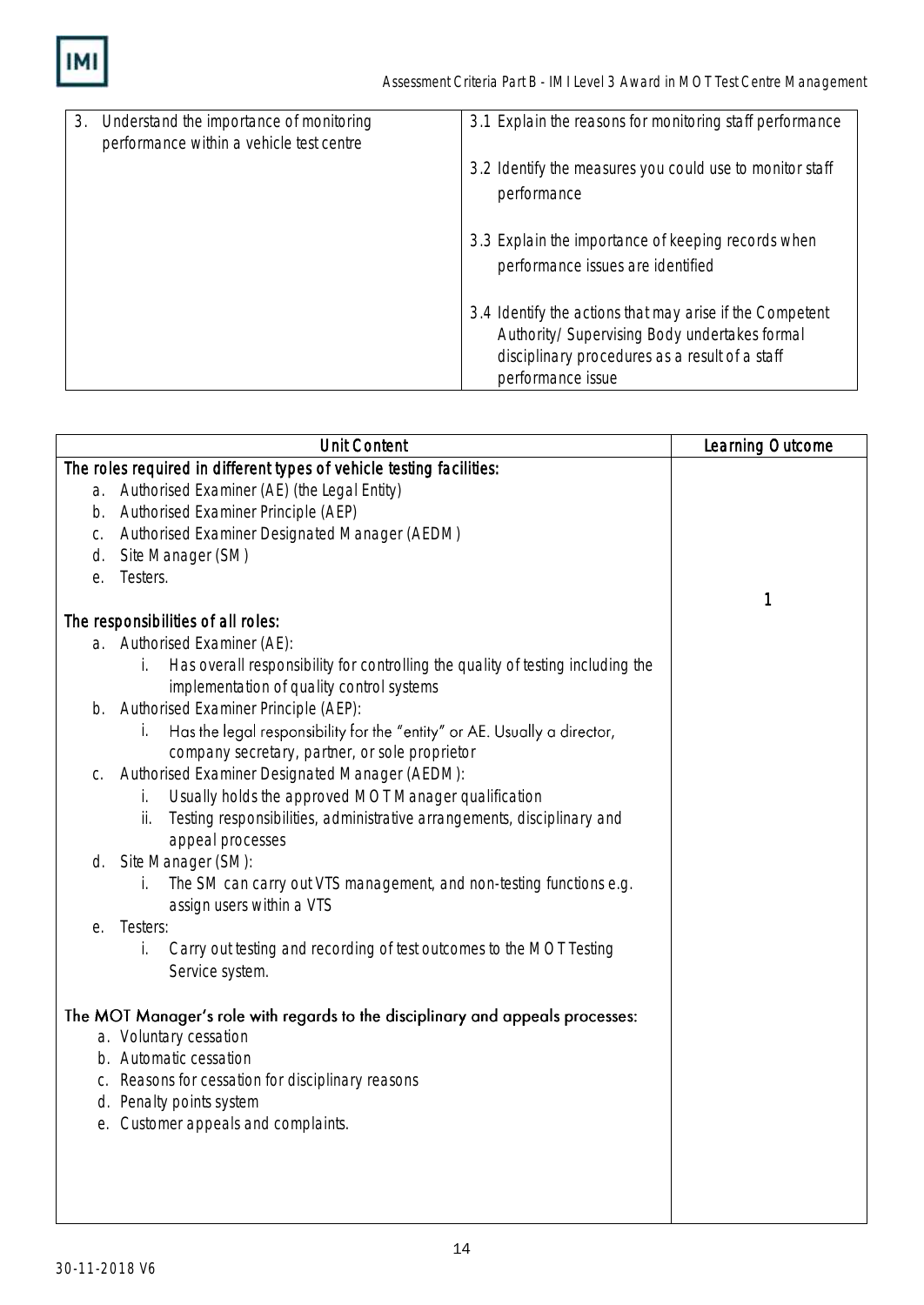

| 3. | Understand the importance of monitoring  | 3.1 Explain the reasons for monitoring staff performance                                                                                                                        |
|----|------------------------------------------|---------------------------------------------------------------------------------------------------------------------------------------------------------------------------------|
|    | performance within a vehicle test centre | 3.2 Identify the measures you could use to monitor staff<br>performance                                                                                                         |
|    |                                          | 3.3 Explain the importance of keeping records when<br>performance issues are identified                                                                                         |
|    |                                          | 3.4 Identify the actions that may arise if the Competent<br>Authority/Supervising Body undertakes formal<br>disciplinary procedures as a result of a staff<br>performance issue |

| The roles required in different types of vehicle testing facilities:                  |   |
|---------------------------------------------------------------------------------------|---|
|                                                                                       |   |
| a. Authorised Examiner (AE) (the Legal Entity)                                        |   |
| b. Authorised Examiner Principle (AEP)                                                |   |
| Authorised Examiner Designated Manager (AEDM)<br>C.                                   |   |
| Site Manager (SM)<br>d.                                                               |   |
| Testers.<br>e.                                                                        |   |
|                                                                                       | 1 |
| The responsibilities of all roles:                                                    |   |
| a. Authorised Examiner (AE):                                                          |   |
| Has overall responsibility for controlling the quality of testing including the<br>İ. |   |
| implementation of quality control systems                                             |   |
| b. Authorised Examiner Principle (AEP):                                               |   |
| Has the legal responsibility for the "entity" or AE. Usually a director,<br>İ.        |   |
| company secretary, partner, or sole proprietor                                        |   |
| Authorised Examiner Designated Manager (AEDM):<br>С.                                  |   |
| Usually holds the approved MOT Manager qualification<br>İ.                            |   |
| Testing responsibilities, administrative arrangements, disciplinary and<br>ii.        |   |
| appeal processes                                                                      |   |
| Site Manager (SM):<br>d.                                                              |   |
| The SM can carry out VTS management, and non-testing functions e.g.<br>İ.             |   |
| assign users within a VTS                                                             |   |
| Testers:<br>е.                                                                        |   |
| Carry out testing and recording of test outcomes to the MOT Testing<br>İ.             |   |
| Service system.                                                                       |   |
|                                                                                       |   |
| The MOT Manager's role with regards to the disciplinary and appeals processes:        |   |
| a. Voluntary cessation<br>b. Automatic cessation                                      |   |
|                                                                                       |   |
| c. Reasons for cessation for disciplinary reasons<br>d. Penalty points system         |   |
| e. Customer appeals and complaints.                                                   |   |
|                                                                                       |   |
|                                                                                       |   |
|                                                                                       |   |
|                                                                                       |   |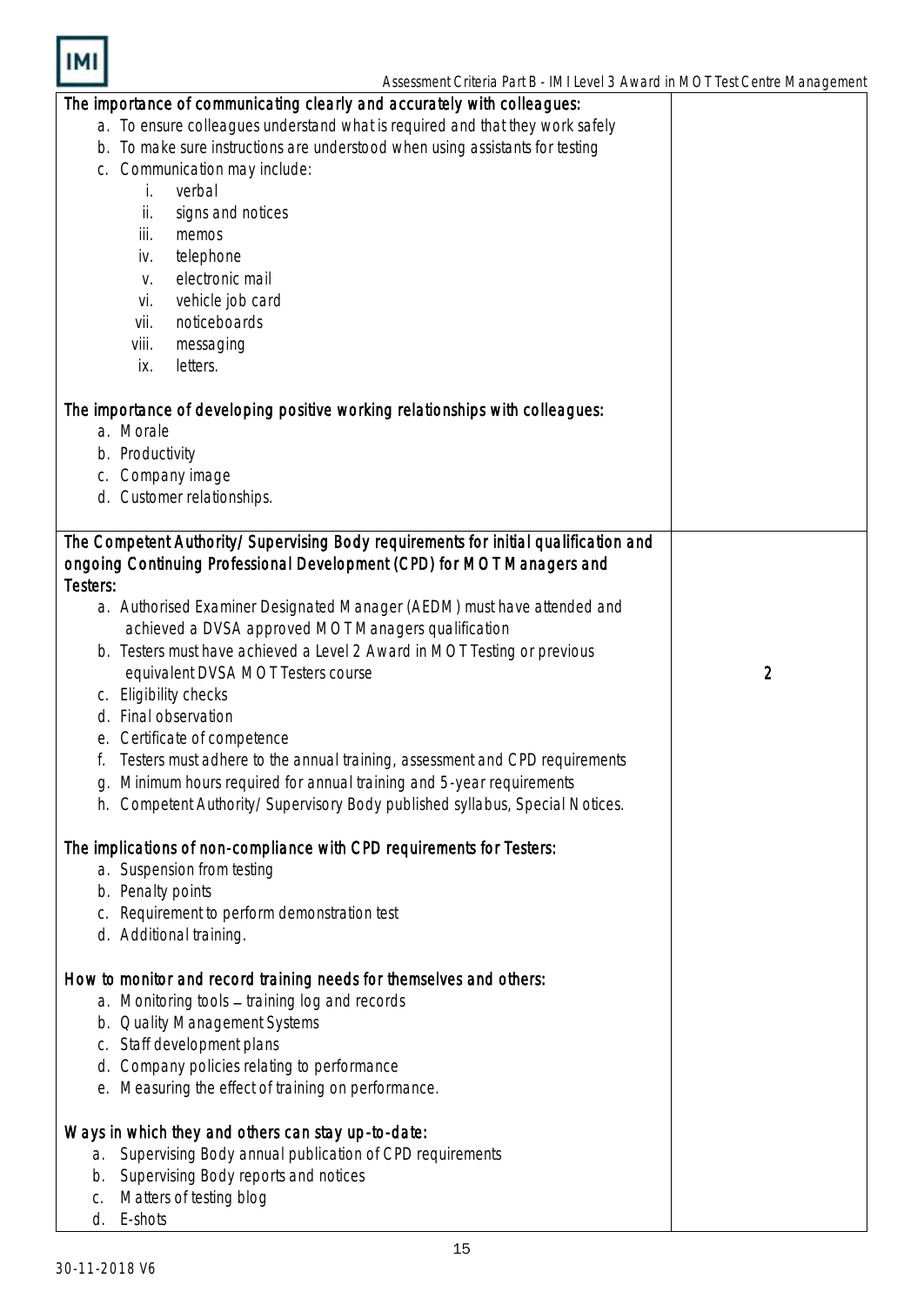

| The importance of communicating clearly and accurately with colleagues:                   |                |
|-------------------------------------------------------------------------------------------|----------------|
| a. To ensure colleagues understand what is required and that they work safely             |                |
| b. To make sure instructions are understood when using assistants for testing             |                |
| Communication may include:<br>C.                                                          |                |
| verbal<br>İ.                                                                              |                |
| signs and notices<br>ii.                                                                  |                |
| iii.<br>memos                                                                             |                |
| telephone<br>iv.                                                                          |                |
| electronic mail<br>V.                                                                     |                |
| vehicle job card<br>Vİ.                                                                   |                |
| noticeboards<br>vii.                                                                      |                |
| viii.<br>messaging                                                                        |                |
| letters.<br>İХ.                                                                           |                |
|                                                                                           |                |
| The importance of developing positive working relationships with colleagues:<br>a. Morale |                |
| b. Productivity                                                                           |                |
| c. Company image                                                                          |                |
| d. Customer relationships.                                                                |                |
|                                                                                           |                |
| The Competent Authority/Supervising Body requirements for initial qualification and       |                |
| ongoing Continuing Professional Development (CPD) for MOT Managers and                    |                |
| Testers:                                                                                  |                |
| a. Authorised Examiner Designated Manager (AEDM) must have attended and                   |                |
| achieved a DVSA approved MOT Managers qualification                                       |                |
| b. Testers must have achieved a Level 2 Award in MOT Testing or previous                  |                |
| equivalent DVSA MOT Testers course                                                        | $\overline{2}$ |
| c. Eligibility checks                                                                     |                |
| d. Final observation                                                                      |                |
| e. Certificate of competence                                                              |                |
| Testers must adhere to the annual training, assessment and CPD requirements               |                |
| Minimum hours required for annual training and 5-year requirements<br>g.                  |                |
| h. Competent Authority/Supervisory Body published syllabus, Special Notices.              |                |
|                                                                                           |                |
| The implications of non-compliance with CPD requirements for Testers:                     |                |
| a. Suspension from testing                                                                |                |
| b. Penalty points                                                                         |                |
| c. Requirement to perform demonstration test                                              |                |
| d. Additional training.                                                                   |                |
|                                                                                           |                |
| How to monitor and record training needs for themselves and others:                       |                |
| a. Monitoring tools - training log and records                                            |                |
| b. Quality Management Systems                                                             |                |
| c. Staff development plans                                                                |                |
| d. Company policies relating to performance                                               |                |
| e. Measuring the effect of training on performance.                                       |                |
|                                                                                           |                |
| Ways in which they and others can stay up-to-date:                                        |                |
| a. Supervising Body annual publication of CPD requirements                                |                |
| Supervising Body reports and notices<br>b.<br>Matters of testing blog                     |                |
| C.<br>E-shots<br>d.                                                                       |                |
|                                                                                           |                |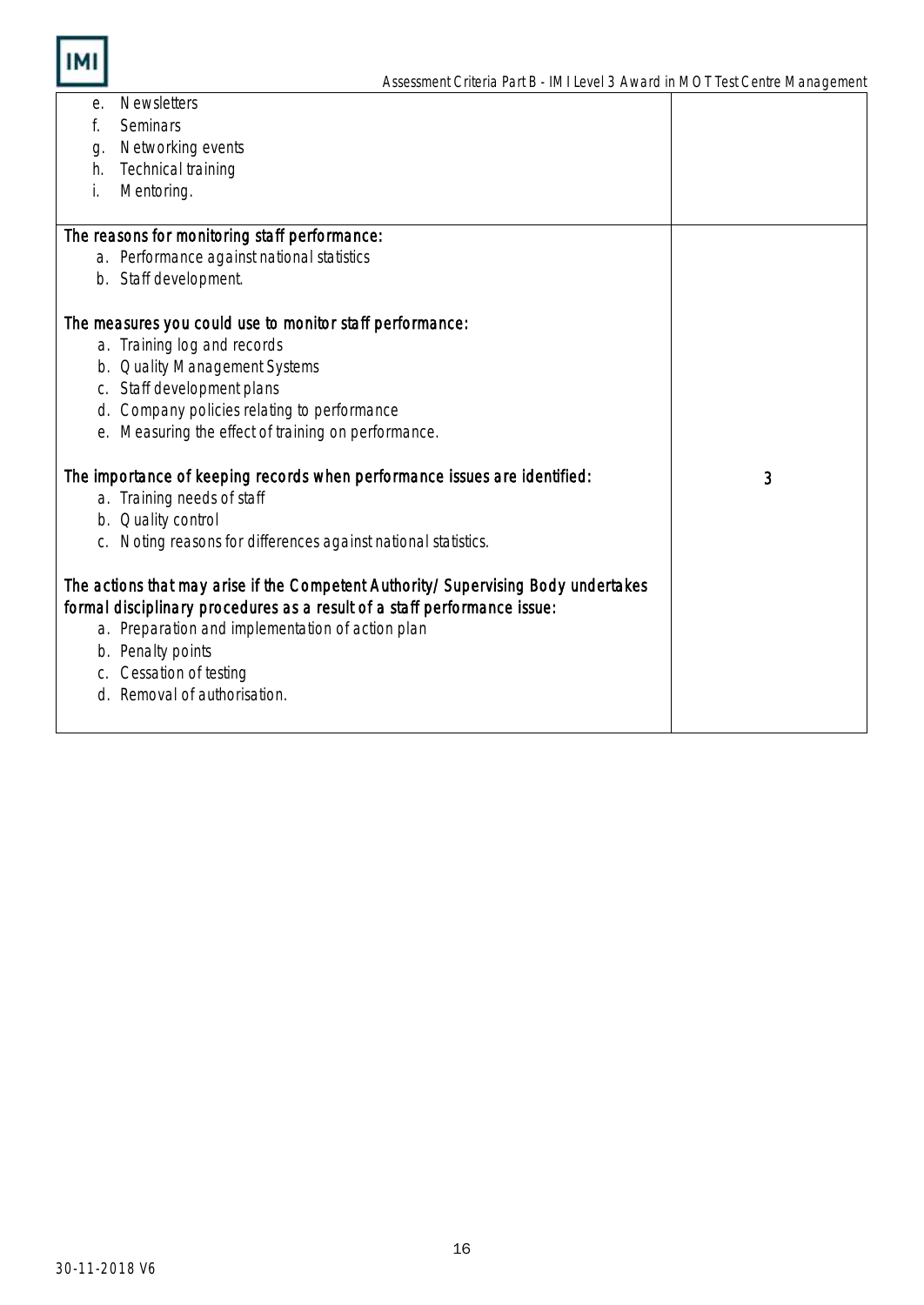

| е. | <b>Newsletters</b>                                                                |   |
|----|-----------------------------------------------------------------------------------|---|
| f. | Seminars                                                                          |   |
| g. | Networking events                                                                 |   |
| h. | Technical training                                                                |   |
| i. | Mentoring.                                                                        |   |
|    |                                                                                   |   |
|    | The reasons for monitoring staff performance:                                     |   |
|    | a. Performance against national statistics                                        |   |
|    | b. Staff development.                                                             |   |
|    |                                                                                   |   |
|    | The measures you could use to monitor staff performance:                          |   |
|    | a. Training log and records                                                       |   |
|    | b. Quality Management Systems                                                     |   |
|    | c. Staff development plans                                                        |   |
|    | d. Company policies relating to performance                                       |   |
|    | Measuring the effect of training on performance.                                  |   |
|    |                                                                                   |   |
|    | The importance of keeping records when performance issues are identified:         | 3 |
|    | a. Training needs of staff                                                        |   |
|    | b. Quality control                                                                |   |
|    | c. Noting reasons for differences against national statistics.                    |   |
|    |                                                                                   |   |
|    | The actions that may arise if the Competent Authority/Supervising Body undertakes |   |
|    | formal disciplinary procedures as a result of a staff performance issue:          |   |
|    | a. Preparation and implementation of action plan                                  |   |
|    | b. Penalty points                                                                 |   |
| C. | Cessation of testing                                                              |   |
| d. | Removal of authorisation.                                                         |   |
|    |                                                                                   |   |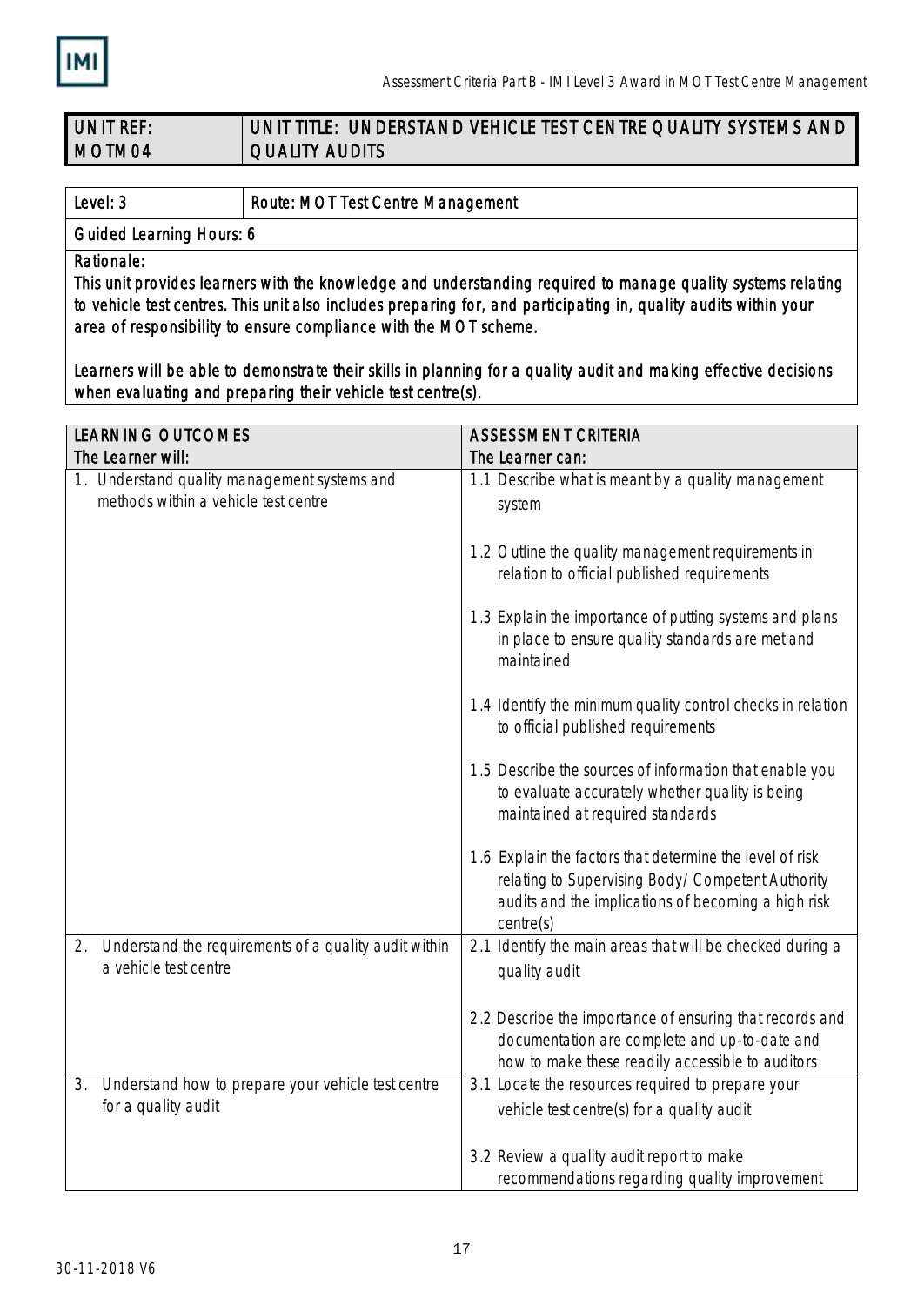

| <b>JUNIT REF</b> | UNIT TITLE: UNDERSTAND VEHICLE TEST CENTRE QUALITY SYSTEMS AND |
|------------------|----------------------------------------------------------------|
| MOTM04           | <b>CUALITY AUDITS</b>                                          |

Level: 3 **Route: MOT Test Centre Management** 

Guided Learning Hours: 6

Rationale:

This unit provides learners with the knowledge and understanding required to manage quality systems relating to vehicle test centres. This unit also includes preparing for, and participating in, quality audits within your area of responsibility to ensure compliance with the MOT scheme.

Learners will be able to demonstrate their skills in planning for a quality audit and making effective decisions when evaluating and preparing their vehicle test centre(s).

| <b>ASSESSMENT CRITERIA</b>                                                                                  |  |
|-------------------------------------------------------------------------------------------------------------|--|
| The Learner can:                                                                                            |  |
| 1.1 Describe what is meant by a quality management                                                          |  |
| system                                                                                                      |  |
|                                                                                                             |  |
| 1.2 Outline the quality management requirements in                                                          |  |
| relation to official published requirements                                                                 |  |
|                                                                                                             |  |
| 1.3 Explain the importance of putting systems and plans<br>in place to ensure quality standards are met and |  |
| maintained                                                                                                  |  |
|                                                                                                             |  |
| 1.4 Identify the minimum quality control checks in relation                                                 |  |
| to official published requirements                                                                          |  |
|                                                                                                             |  |
| 1.5 Describe the sources of information that enable you                                                     |  |
| to evaluate accurately whether quality is being                                                             |  |
| maintained at required standards                                                                            |  |
| 1.6 Explain the factors that determine the level of risk                                                    |  |
| relating to Supervising Body/Competent Authority                                                            |  |
| audits and the implications of becoming a high risk                                                         |  |
| centre(s)                                                                                                   |  |
| 2.1 Identify the main areas that will be checked during a                                                   |  |
| quality audit                                                                                               |  |
|                                                                                                             |  |
| 2.2 Describe the importance of ensuring that records and                                                    |  |
| documentation are complete and up-to-date and                                                               |  |
| how to make these readily accessible to auditors                                                            |  |
| 3.1 Locate the resources required to prepare your                                                           |  |
| vehicle test centre(s) for a quality audit                                                                  |  |
| 3.2 Review a quality audit report to make                                                                   |  |
| recommendations regarding quality improvement                                                               |  |
|                                                                                                             |  |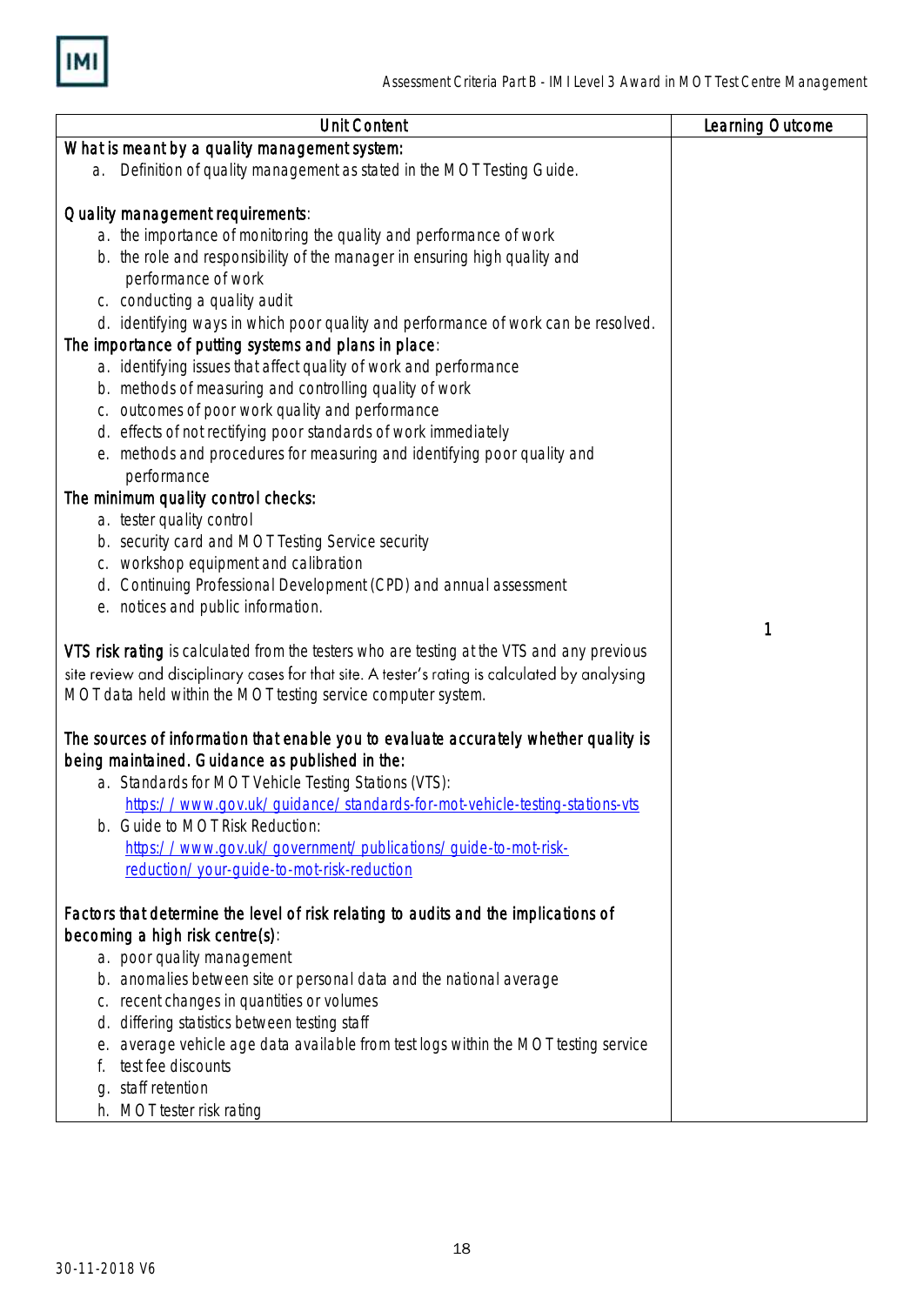

| <b>Unit Content</b>                                                                                                                                                                          | Learning Outcome |
|----------------------------------------------------------------------------------------------------------------------------------------------------------------------------------------------|------------------|
| What is meant by a quality management system:                                                                                                                                                |                  |
| Definition of quality management as stated in the MOT Testing Guide.<br>a.                                                                                                                   |                  |
|                                                                                                                                                                                              |                  |
| Quality management requirements:                                                                                                                                                             |                  |
| a. the importance of monitoring the quality and performance of work                                                                                                                          |                  |
| b. the role and responsibility of the manager in ensuring high quality and<br>performance of work                                                                                            |                  |
| c. conducting a quality audit                                                                                                                                                                |                  |
| d. identifying ways in which poor quality and performance of work can be resolved.                                                                                                           |                  |
| The importance of putting systems and plans in place:                                                                                                                                        |                  |
| a. identifying issues that affect quality of work and performance                                                                                                                            |                  |
| b. methods of measuring and controlling quality of work                                                                                                                                      |                  |
| c. outcomes of poor work quality and performance                                                                                                                                             |                  |
| d. effects of not rectifying poor standards of work immediately                                                                                                                              |                  |
| e. methods and procedures for measuring and identifying poor quality and                                                                                                                     |                  |
| performance                                                                                                                                                                                  |                  |
| The minimum quality control checks:                                                                                                                                                          |                  |
| a. tester quality control                                                                                                                                                                    |                  |
| b. security card and MOT Testing Service security                                                                                                                                            |                  |
| c. workshop equipment and calibration                                                                                                                                                        |                  |
| d. Continuing Professional Development (CPD) and annual assessment                                                                                                                           |                  |
| e. notices and public information.                                                                                                                                                           |                  |
|                                                                                                                                                                                              | 1                |
| VTS risk rating is calculated from the testers who are testing at the VTS and any previous<br>site review and disciplinary cases for that site. A tester's rating is calculated by analysing |                  |
| MOT data held within the MOT testing service computer system.                                                                                                                                |                  |
|                                                                                                                                                                                              |                  |
| The sources of information that enable you to evaluate accurately whether quality is                                                                                                         |                  |
| being maintained. Guidance as published in the:                                                                                                                                              |                  |
| a. Standards for MOT Vehicle Testing Stations (VTS):                                                                                                                                         |                  |
| https://www.gov.uk/guidance/standards-for-mot-vehicle-testing-stations-vts                                                                                                                   |                  |
| Guide to MOT Risk Reduction:<br>b.                                                                                                                                                           |                  |
| https://www.gov.uk/government/publications/guide-to-mot-risk-                                                                                                                                |                  |
| reduction/your-quide-to-mot-risk-reduction                                                                                                                                                   |                  |
|                                                                                                                                                                                              |                  |
| Factors that determine the level of risk relating to audits and the implications of                                                                                                          |                  |
| becoming a high risk centre(s):<br>a. poor quality management                                                                                                                                |                  |
| b. anomalies between site or personal data and the national average                                                                                                                          |                  |
| c. recent changes in quantities or volumes                                                                                                                                                   |                  |
| differing statistics between testing staff<br>d.                                                                                                                                             |                  |
| average vehicle age data available from test logs within the MOT testing service<br>е.                                                                                                       |                  |
| test fee discounts                                                                                                                                                                           |                  |
| staff retention<br>q.                                                                                                                                                                        |                  |
| MOT tester risk rating<br>h.                                                                                                                                                                 |                  |